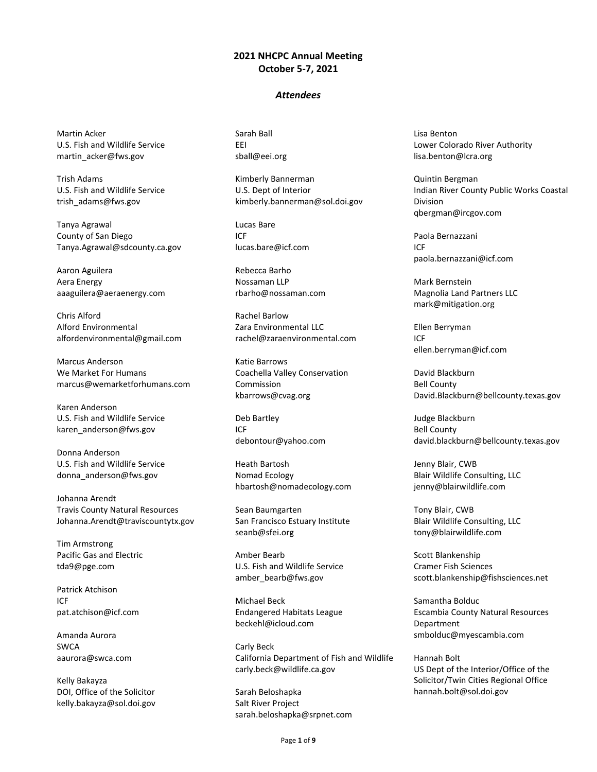## **2021 NHCPC Annual Meeting October 5-7, 2021**

## *Attendees*

Martin Acker U.S. Fish and Wildlife Service martin\_acker@fws.gov

Trish Adams U.S. Fish and Wildlife Service trish\_adams@fws.gov

Tanya Agrawal County of San Diego Tanya.Agrawal@sdcounty.ca.gov

Aaron Aguilera Aera Energy aaaguilera@aeraenergy.com

Chris Alford Alford Environmental alfordenvironmental@gmail.com

Marcus Anderson We Market For Humans marcus@wemarketforhumans.com

Karen Anderson U.S. Fish and Wildlife Service karen\_anderson@fws.gov

Donna Anderson U.S. Fish and Wildlife Service donna\_anderson@fws.gov

Johanna Arendt Travis County Natural Resources Johanna.Arendt@traviscountytx.gov

Tim Armstrong Pacific Gas and Electric tda9@pge.com

Patrick Atchison ICF pat.atchison@icf.com

Amanda Aurora SWCA aaurora@swca.com

Kelly Bakayza DOI, Office of the Solicitor kelly.bakayza@sol.doi.gov Sarah Ball EEI sball@eei.org

Kimberly Bannerman U.S. Dept of Interior kimberly.bannerman@sol.doi.gov

Lucas Bare ICF lucas.bare@icf.com

Rebecca Barho Nossaman LLP rbarho@nossaman.com

Rachel Barlow Zara Environmental LLC rachel@zaraenvironmental.com

Katie Barrows Coachella Valley Conservation Commission kbarrows@cvag.org

Deb Bartley ICF debontour@yahoo.com

Heath Bartosh Nomad Ecology hbartosh@nomadecology.com

Sean Baumgarten San Francisco Estuary Institute seanb@sfei.org

Amber Bearb U.S. Fish and Wildlife Service amber\_bearb@fws.gov

Michael Beck Endangered Habitats League beckehl@icloud.com

Carly Beck California Department of Fish and Wildlife carly.beck@wildlife.ca.gov

Sarah Beloshapka Salt River Project sarah.beloshapka@srpnet.com Lisa Benton Lower Colorado River Authority lisa.benton@lcra.org

Quintin Bergman Indian River County Public Works Coastal Division qbergman@ircgov.com

Paola Bernazzani ICF paola.bernazzani@icf.com

Mark Bernstein Magnolia Land Partners LLC mark@mitigation.org

Ellen Berryman ICF ellen.berryman@icf.com

David Blackburn Bell County David.Blackburn@bellcounty.texas.gov

Judge Blackburn Bell County david.blackburn@bellcounty.texas.gov

Jenny Blair, CWB Blair Wildlife Consulting, LLC jenny@blairwildlife.com

Tony Blair, CWB Blair Wildlife Consulting, LLC tony@blairwildlife.com

Scott Blankenship Cramer Fish Sciences scott.blankenship@fishsciences.net

Samantha Bolduc Escambia County Natural Resources Department smbolduc@myescambia.com

Hannah Bolt US Dept of the Interior/Office of the Solicitor/Twin Cities Regional Office hannah.bolt@sol.doi.gov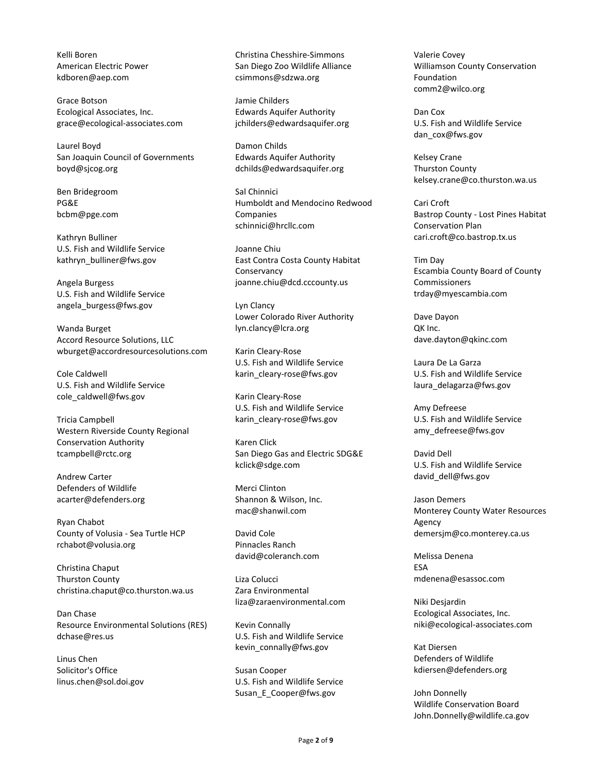Kelli Boren American Electric Power kdboren@aep.com

Grace Botson Ecological Associates, Inc. grace@ecological-associates.com

Laurel Boyd San Joaquin Council of Governments boyd@sjcog.org

Ben Bridegroom PG&E bcbm@pge.com

Kathryn Bulliner U.S. Fish and Wildlife Service kathryn\_bulliner@fws.gov

Angela Burgess U.S. Fish and Wildlife Service angela\_burgess@fws.gov

Wanda Burget Accord Resource Solutions, LLC wburget@accordresourcesolutions.com

Cole Caldwell U.S. Fish and Wildlife Service cole\_caldwell@fws.gov

Tricia Campbell Western Riverside County Regional Conservation Authority tcampbell@rctc.org

Andrew Carter Defenders of Wildlife acarter@defenders.org

Ryan Chabot County of Volusia - Sea Turtle HCP rchabot@volusia.org

Christina Chaput Thurston County christina.chaput@co.thurston.wa.us

Dan Chase Resource Environmental Solutions (RES) dchase@res.us

Linus Chen Solicitor's Office linus.chen@sol.doi.gov Christina Chesshire-Simmons San Diego Zoo Wildlife Alliance csimmons@sdzwa.org

Jamie Childers Edwards Aquifer Authority jchilders@edwardsaquifer.org

Damon Childs Edwards Aquifer Authority dchilds@edwardsaquifer.org

Sal Chinnici Humboldt and Mendocino Redwood Companies schinnici@hrcllc.com

Joanne Chiu East Contra Costa County Habitat Conservancy joanne.chiu@dcd.cccounty.us

Lyn Clancy Lower Colorado River Authority lyn.clancy@lcra.org

Karin Cleary-Rose U.S. Fish and Wildlife Service karin\_cleary-rose@fws.gov

Karin Cleary-Rose U.S. Fish and Wildlife Service karin\_cleary-rose@fws.gov

Karen Click San Diego Gas and Electric SDG&E kclick@sdge.com

Merci Clinton Shannon & Wilson, Inc. mac@shanwil.com

David Cole Pinnacles Ranch david@coleranch.com

Liza Colucci Zara Environmental liza@zaraenvironmental.com

Kevin Connally U.S. Fish and Wildlife Service kevin\_connally@fws.gov

Susan Cooper U.S. Fish and Wildlife Service Susan\_E\_Cooper@fws.gov

Valerie Covey Williamson County Conservation Foundation comm2@wilco.org

Dan Cox U.S. Fish and Wildlife Service dan\_cox@fws.gov

Kelsey Crane Thurston County kelsey.crane@co.thurston.wa.us

Cari Croft Bastrop County - Lost Pines Habitat Conservation Plan cari.croft@co.bastrop.tx.us

Tim Day Escambia County Board of County Commissioners trday@myescambia.com

Dave Dayon QK Inc. dave.dayton@qkinc.com

Laura De La Garza U.S. Fish and Wildlife Service laura\_delagarza@fws.gov

Amy Defreese U.S. Fish and Wildlife Service amy\_defreese@fws.gov

David Dell U.S. Fish and Wildlife Service david\_dell@fws.gov

Jason Demers Monterey County Water Resources Agency demersjm@co.monterey.ca.us

Melissa Denena ESA mdenena@esassoc.com

Niki Desjardin Ecological Associates, Inc. niki@ecological-associates.com

Kat Diersen Defenders of Wildlife kdiersen@defenders.org

John Donnelly Wildlife Conservation Board John.Donnelly@wildlife.ca.gov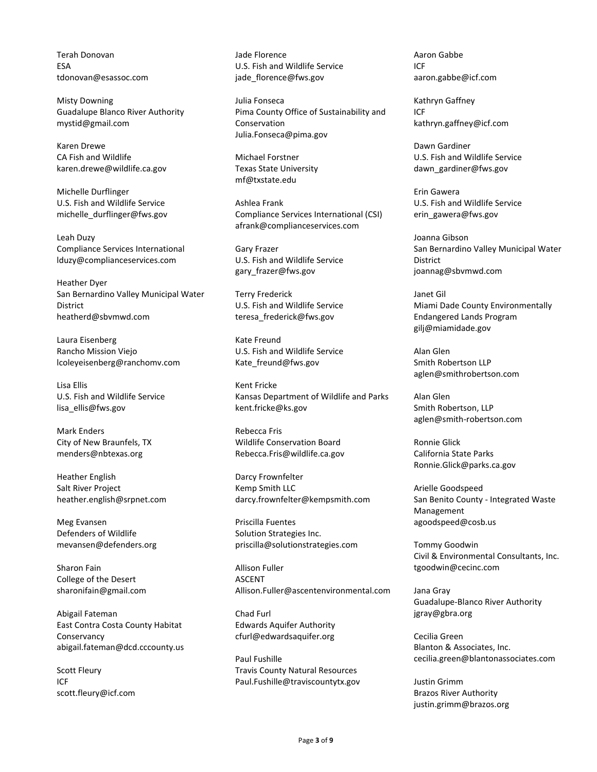Terah Donovan ESA tdonovan@esassoc.com

Misty Downing Guadalupe Blanco River Authority mystid@gmail.com

Karen Drewe CA Fish and Wildlife karen.drewe@wildlife.ca.gov

Michelle Durflinger U.S. Fish and Wildlife Service michelle\_durflinger@fws.gov

Leah Duzy Compliance Services International lduzy@complianceservices.com

Heather Dyer San Bernardino Valley Municipal Water **District** heatherd@sbvmwd.com

Laura Eisenberg Rancho Mission Viejo lcoleyeisenberg@ranchomv.com

Lisa Ellis U.S. Fish and Wildlife Service lisa\_ellis@fws.gov

Mark Enders City of New Braunfels, TX menders@nbtexas.org

Heather English Salt River Project heather.english@srpnet.com

Meg Evansen Defenders of Wildlife mevansen@defenders.org

Sharon Fain College of the Desert sharonifain@gmail.com

Abigail Fateman East Contra Costa County Habitat Conservancy abigail.fateman@dcd.cccounty.us

Scott Fleury ICF scott.fleury@icf.com Jade Florence U.S. Fish and Wildlife Service jade\_florence@fws.gov

Julia Fonseca Pima County Office of Sustainability and Conservation Julia.Fonseca@pima.gov

Michael Forstner Texas State University mf@txstate.edu

Ashlea Frank Compliance Services International (CSI) afrank@complianceservices.com

Gary Frazer U.S. Fish and Wildlife Service gary\_frazer@fws.gov

Terry Frederick U.S. Fish and Wildlife Service teresa\_frederick@fws.gov

Kate Freund U.S. Fish and Wildlife Service Kate\_freund@fws.gov

Kent Fricke Kansas Department of Wildlife and Parks kent.fricke@ks.gov

Rebecca Fris Wildlife Conservation Board Rebecca.Fris@wildlife.ca.gov

Darcy Frownfelter Kemp Smith LLC darcy.frownfelter@kempsmith.com

Priscilla Fuentes Solution Strategies Inc. priscilla@solutionstrategies.com

Allison Fuller ASCENT Allison.Fuller@ascentenvironmental.com

Chad Furl Edwards Aquifer Authority cfurl@edwardsaquifer.org

Paul Fushille Travis County Natural Resources Paul.Fushille@traviscountytx.gov Aaron Gabbe ICF aaron.gabbe@icf.com

Kathryn Gaffney ICF kathryn.gaffney@icf.com

Dawn Gardiner U.S. Fish and Wildlife Service dawn\_gardiner@fws.gov

Erin Gawera U.S. Fish and Wildlife Service erin\_gawera@fws.gov

Joanna Gibson San Bernardino Valley Municipal Water District joannag@sbvmwd.com

Janet Gil Miami Dade County Environmentally Endangered Lands Program gilj@miamidade.gov

Alan Glen Smith Robertson LLP aglen@smithrobertson.com

Alan Glen Smith Robertson, LLP aglen@smith-robertson.com

Ronnie Glick California State Parks Ronnie.Glick@parks.ca.gov

Arielle Goodspeed San Benito County - Integrated Waste Management agoodspeed@cosb.us

Tommy Goodwin Civil & Environmental Consultants, Inc. tgoodwin@cecinc.com

Jana Gray Guadalupe-Blanco River Authority jgray@gbra.org

Cecilia Green Blanton & Associates, Inc. cecilia.green@blantonassociates.com

Justin Grimm Brazos River Authority justin.grimm@brazos.org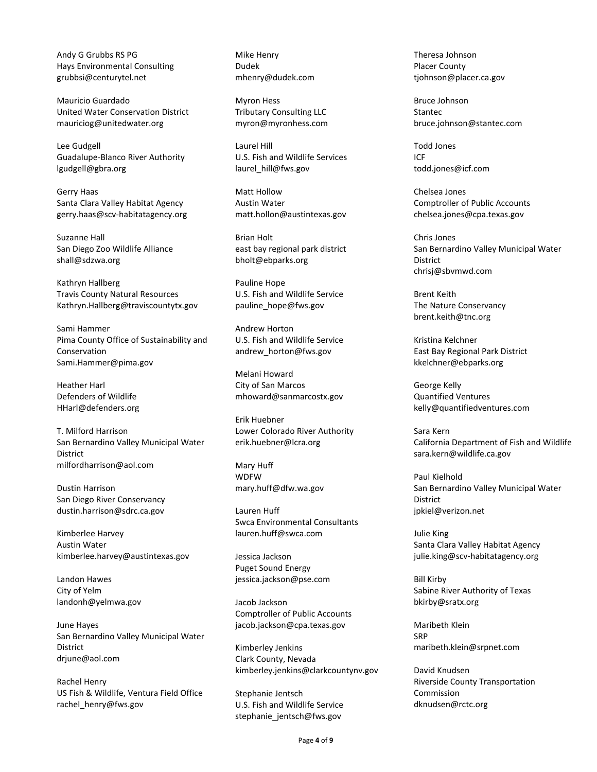Andy G Grubbs RS PG Hays Environmental Consulting grubbsi@centurytel.net

Mauricio Guardado United Water Conservation District mauriciog@unitedwater.org

Lee Gudgell Guadalupe-Blanco River Authority lgudgell@gbra.org

Gerry Haas Santa Clara Valley Habitat Agency gerry.haas@scv-habitatagency.org

Suzanne Hall San Diego Zoo Wildlife Alliance shall@sdzwa.org

Kathryn Hallberg Travis County Natural Resources Kathryn.Hallberg@traviscountytx.gov

Sami Hammer Pima County Office of Sustainability and Conservation Sami.Hammer@pima.gov

Heather Harl Defenders of Wildlife HHarl@defenders.org

T. Milford Harrison San Bernardino Valley Municipal Water **District** milfordharrison@aol.com

Dustin Harrison San Diego River Conservancy dustin.harrison@sdrc.ca.gov

Kimberlee Harvey Austin Water kimberlee.harvey@austintexas.gov

Landon Hawes City of Yelm landonh@yelmwa.gov

June Hayes San Bernardino Valley Municipal Water District drjune@aol.com

Rachel Henry US Fish & Wildlife, Ventura Field Office rachel\_henry@fws.gov

Mike Henry Dudek mhenry@dudek.com

Myron Hess Tributary Consulting LLC myron@myronhess.com

Laurel Hill U.S. Fish and Wildlife Services laurel\_hill@fws.gov

Matt Hollow Austin Water matt.hollon@austintexas.gov

Brian Holt east bay regional park district bholt@ebparks.org

Pauline Hope U.S. Fish and Wildlife Service pauline\_hope@fws.gov

Andrew Horton U.S. Fish and Wildlife Service andrew\_horton@fws.gov

Melani Howard City of San Marcos mhoward@sanmarcostx.gov

Erik Huebner Lower Colorado River Authority erik.huebner@lcra.org

Mary Huff WDFW mary.huff@dfw.wa.gov

Lauren Huff Swca Environmental Consultants lauren.huff@swca.com

Jessica Jackson Puget Sound Energy jessica.jackson@pse.com

Jacob Jackson Comptroller of Public Accounts jacob.jackson@cpa.texas.gov

Kimberley Jenkins Clark County, Nevada kimberley.jenkins@clarkcountynv.gov

Stephanie Jentsch U.S. Fish and Wildlife Service stephanie\_jentsch@fws.gov

Theresa Johnson Placer County tjohnson@placer.ca.gov

Bruce Johnson **Stantec** bruce.johnson@stantec.com

Todd Jones ICF todd.jones@icf.com

Chelsea Jones Comptroller of Public Accounts chelsea.jones@cpa.texas.gov

Chris Jones San Bernardino Valley Municipal Water District chrisj@sbvmwd.com

Brent Keith The Nature Conservancy brent.keith@tnc.org

Kristina Kelchner East Bay Regional Park District kkelchner@ebparks.org

George Kelly Quantified Ventures kelly@quantifiedventures.com

Sara Kern California Department of Fish and Wildlife sara.kern@wildlife.ca.gov

Paul Kielhold San Bernardino Valley Municipal Water District jpkiel@verizon.net

Julie King Santa Clara Valley Habitat Agency julie.king@scv-habitatagency.org

Bill Kirby Sabine River Authority of Texas bkirby@sratx.org

Maribeth Klein SRP maribeth.klein@srpnet.com

David Knudsen Riverside County Transportation Commission dknudsen@rctc.org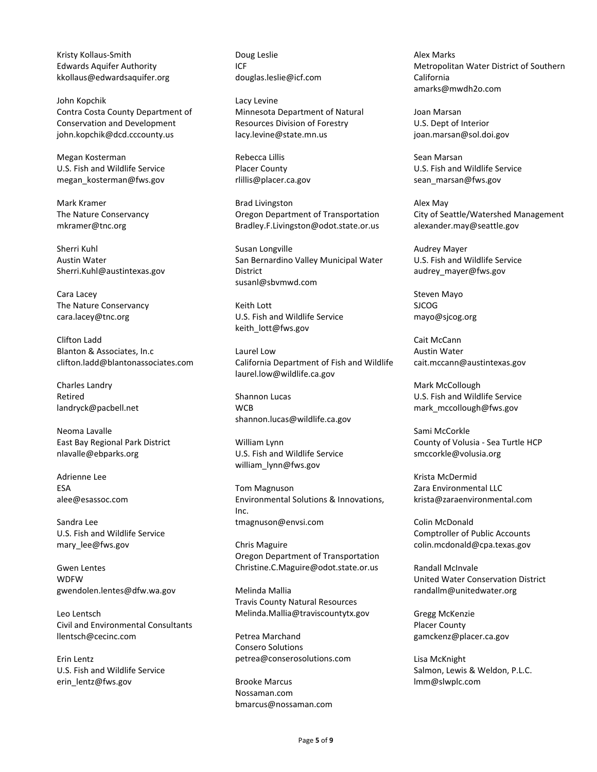Kristy Kollaus-Smith Edwards Aquifer Authority kkollaus@edwardsaquifer.org

John Kopchik Contra Costa County Department of Conservation and Development john.kopchik@dcd.cccounty.us

Megan Kosterman U.S. Fish and Wildlife Service megan\_kosterman@fws.gov

Mark Kramer The Nature Conservancy mkramer@tnc.org

Sherri Kuhl Austin Water Sherri.Kuhl@austintexas.gov

Cara Lacey The Nature Conservancy cara.lacey@tnc.org

Clifton Ladd Blanton & Associates, In.c clifton.ladd@blantonassociates.com

Charles Landry Retired landryck@pacbell.net

Neoma Lavalle East Bay Regional Park District nlavalle@ebparks.org

Adrienne Lee ESA alee@esassoc.com

Sandra Lee U.S. Fish and Wildlife Service mary\_lee@fws.gov

Gwen Lentes WDFW gwendolen.lentes@dfw.wa.gov

Leo Lentsch Civil and Environmental Consultants llentsch@cecinc.com

Erin Lentz U.S. Fish and Wildlife Service erin\_lentz@fws.gov

Doug Leslie ICF douglas.leslie@icf.com

Lacy Levine Minnesota Department of Natural Resources Division of Forestry lacy.levine@state.mn.us

Rebecca Lillis Placer County rlillis@placer.ca.gov

Brad Livingston Oregon Department of Transportation Bradley.F.Livingston@odot.state.or.us

Susan Longville San Bernardino Valley Municipal Water District susanl@sbvmwd.com

Keith Lott U.S. Fish and Wildlife Service keith\_lott@fws.gov

Laurel Low California Department of Fish and Wildlife laurel.low@wildlife.ca.gov

Shannon Lucas **WCB** shannon.lucas@wildlife.ca.gov

William Lynn U.S. Fish and Wildlife Service william\_lynn@fws.gov

Tom Magnuson Environmental Solutions & Innovations, Inc. tmagnuson@envsi.com

Chris Maguire Oregon Department of Transportation Christine.C.Maguire@odot.state.or.us

Melinda Mallia Travis County Natural Resources Melinda.Mallia@traviscountytx.gov

Petrea Marchand Consero Solutions petrea@conserosolutions.com

Brooke Marcus Nossaman.com bmarcus@nossaman.com Alex Marks Metropolitan Water District of Southern California amarks@mwdh2o.com

Joan Marsan U.S. Dept of Interior joan.marsan@sol.doi.gov

Sean Marsan U.S. Fish and Wildlife Service sean marsan@fws.gov

Alex May City of Seattle/Watershed Management alexander.may@seattle.gov

Audrey Mayer U.S. Fish and Wildlife Service audrey\_mayer@fws.gov

Steven Mayo SJCOG mayo@sjcog.org

Cait McCann Austin Water cait.mccann@austintexas.gov

Mark McCollough U.S. Fish and Wildlife Service mark\_mccollough@fws.gov

Sami McCorkle County of Volusia - Sea Turtle HCP smccorkle@volusia.org

Krista McDermid Zara Environmental LLC krista@zaraenvironmental.com

Colin McDonald Comptroller of Public Accounts colin.mcdonald@cpa.texas.gov

Randall McInvale United Water Conservation District randallm@unitedwater.org

Gregg McKenzie Placer County gamckenz@placer.ca.gov

Lisa McKnight Salmon, Lewis & Weldon, P.L.C. lmm@slwplc.com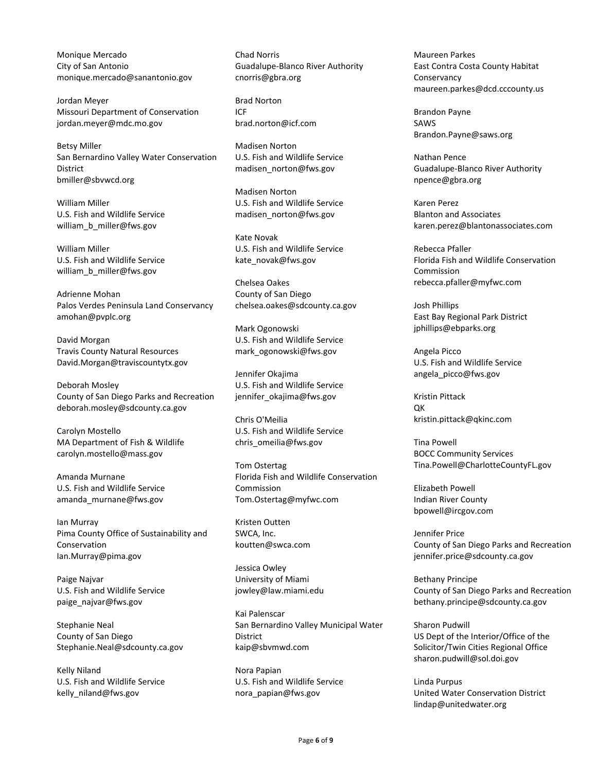Monique Mercado City of San Antonio monique.mercado@sanantonio.gov

Jordan Meyer Missouri Department of Conservation jordan.meyer@mdc.mo.gov

Betsy Miller San Bernardino Valley Water Conservation **District** bmiller@sbvwcd.org

William Miller U.S. Fish and Wildlife Service william\_b\_miller@fws.gov

William Miller U.S. Fish and Wildlife Service william\_b\_miller@fws.gov

Adrienne Mohan Palos Verdes Peninsula Land Conservancy amohan@pvplc.org

David Morgan Travis County Natural Resources David.Morgan@traviscountytx.gov

Deborah Mosley County of San Diego Parks and Recreation deborah.mosley@sdcounty.ca.gov

Carolyn Mostello MA Department of Fish & Wildlife carolyn.mostello@mass.gov

Amanda Murnane U.S. Fish and Wildlife Service amanda\_murnane@fws.gov

Ian Murray Pima County Office of Sustainability and Conservation Ian.Murray@pima.gov

Paige Najvar U.S. Fish and Wildlife Service paige\_najvar@fws.gov

Stephanie Neal County of San Diego Stephanie.Neal@sdcounty.ca.gov

Kelly Niland U.S. Fish and Wildlife Service kelly\_niland@fws.gov

Chad Norris Guadalupe-Blanco River Authority cnorris@gbra.org

Brad Norton ICF brad.norton@icf.com

Madisen Norton U.S. Fish and Wildlife Service madisen\_norton@fws.gov

Madisen Norton U.S. Fish and Wildlife Service madisen\_norton@fws.gov

Kate Novak U.S. Fish and Wildlife Service kate\_novak@fws.gov

Chelsea Oakes County of San Diego chelsea.oakes@sdcounty.ca.gov

Mark Ogonowski U.S. Fish and Wildlife Service mark\_ogonowski@fws.gov

Jennifer Okajima U.S. Fish and Wildlife Service jennifer\_okajima@fws.gov

Chris O'Meilia U.S. Fish and Wildlife Service chris\_omeilia@fws.gov

Tom Ostertag Florida Fish and Wildlife Conservation Commission Tom.Ostertag@myfwc.com

Kristen Outten SWCA, Inc. koutten@swca.com

Jessica Owley University of Miami jowley@law.miami.edu

Kai Palenscar San Bernardino Valley Municipal Water District kaip@sbvmwd.com

Nora Papian U.S. Fish and Wildlife Service nora\_papian@fws.gov

Maureen Parkes East Contra Costa County Habitat Conservancy maureen.parkes@dcd.cccounty.us

Brandon Payne SAWS Brandon.Payne@saws.org

Nathan Pence Guadalupe-Blanco River Authority npence@gbra.org

Karen Perez Blanton and Associates karen.perez@blantonassociates.com

Rebecca Pfaller Florida Fish and Wildlife Conservation Commission rebecca.pfaller@myfwc.com

Josh Phillips East Bay Regional Park District jphillips@ebparks.org

Angela Picco U.S. Fish and Wildlife Service angela\_picco@fws.gov

Kristin Pittack  $\cap$ K kristin.pittack@qkinc.com

Tina Powell BOCC Community Services Tina.Powell@CharlotteCountyFL.gov

Elizabeth Powell Indian River County bpowell@ircgov.com

Jennifer Price County of San Diego Parks and Recreation jennifer.price@sdcounty.ca.gov

Bethany Principe County of San Diego Parks and Recreation bethany.principe@sdcounty.ca.gov

Sharon Pudwill US Dept of the Interior/Office of the Solicitor/Twin Cities Regional Office sharon.pudwill@sol.doi.gov

Linda Purpus United Water Conservation District lindap@unitedwater.org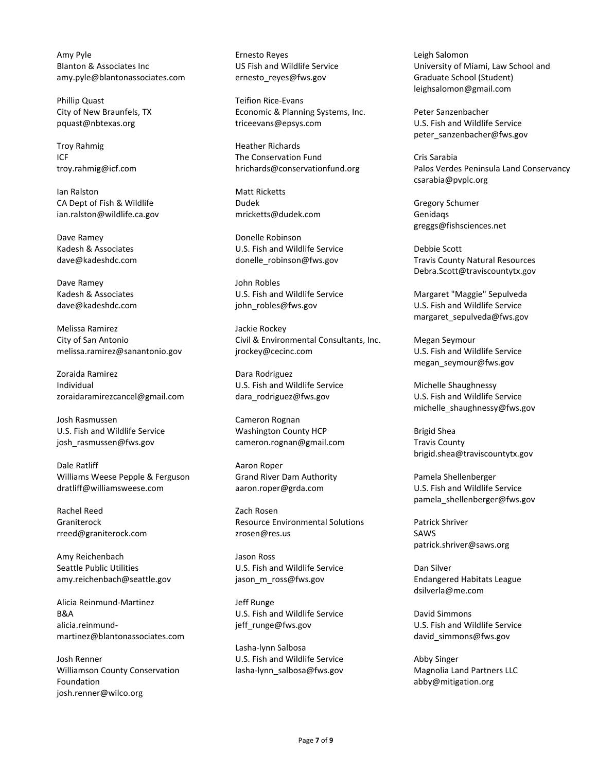Amy Pyle Blanton & Associates Inc amy.pyle@blantonassociates.com

Phillip Quast City of New Braunfels, TX pquast@nbtexas.org

Troy Rahmig ICF troy.rahmig@icf.com

Ian Ralston CA Dept of Fish & Wildlife ian.ralston@wildlife.ca.gov

Dave Ramey Kadesh & Associates dave@kadeshdc.com

Dave Ramey Kadesh & Associates dave@kadeshdc.com

Melissa Ramirez City of San Antonio melissa.ramirez@sanantonio.gov

Zoraida Ramirez Individual zoraidaramirezcancel@gmail.com

Josh Rasmussen U.S. Fish and Wildlife Service josh rasmussen@fws.gov

Dale Ratliff Williams Weese Pepple & Ferguson dratliff@williamsweese.com

Rachel Reed Graniterock rreed@graniterock.com

Amy Reichenbach Seattle Public Utilities amy.reichenbach@seattle.gov

Alicia Reinmund-Martinez B&A alicia.reinmundmartinez@blantonassociates.com

Josh Renner Williamson County Conservation Foundation josh.renner@wilco.org

Ernesto Reyes US Fish and Wildlife Service ernesto\_reyes@fws.gov

Teifion Rice-Evans Economic & Planning Systems, Inc. triceevans@epsys.com

Heather Richards The Conservation Fund hrichards@conservationfund.org

Matt Ricketts Dudek mricketts@dudek.com

Donelle Robinson U.S. Fish and Wildlife Service donelle\_robinson@fws.gov

John Robles U.S. Fish and Wildlife Service john\_robles@fws.gov

Jackie Rockey Civil & Environmental Consultants, Inc. jrockey@cecinc.com

Dara Rodriguez U.S. Fish and Wildlife Service dara\_rodriguez@fws.gov

Cameron Rognan Washington County HCP cameron.rognan@gmail.com

Aaron Roper Grand River Dam Authority aaron.roper@grda.com

Zach Rosen Resource Environmental Solutions zrosen@res.us

Jason Ross U.S. Fish and Wildlife Service jason\_m\_ross@fws.gov

Jeff Runge U.S. Fish and Wildlife Service jeff\_runge@fws.gov

Lasha-lynn Salbosa U.S. Fish and Wildlife Service lasha-lynn\_salbosa@fws.gov Leigh Salomon University of Miami, Law School and Graduate School (Student) leighsalomon@gmail.com

Peter Sanzenbacher U.S. Fish and Wildlife Service peter\_sanzenbacher@fws.gov

Cris Sarabia Palos Verdes Peninsula Land Conservancy csarabia@pvplc.org

Gregory Schumer Genidaqs greggs@fishsciences.net

Debbie Scott Travis County Natural Resources Debra.Scott@traviscountytx.gov

Margaret "Maggie" Sepulveda U.S. Fish and Wildlife Service margaret\_sepulveda@fws.gov

Megan Seymour U.S. Fish and Wildlife Service megan\_seymour@fws.gov

Michelle Shaughnessy U.S. Fish and Wildlife Service michelle\_shaughnessy@fws.gov

Brigid Shea Travis County brigid.shea@traviscountytx.gov

Pamela Shellenberger U.S. Fish and Wildlife Service pamela\_shellenberger@fws.gov

Patrick Shriver SAWS patrick.shriver@saws.org

Dan Silver Endangered Habitats League dsilverla@me.com

David Simmons U.S. Fish and Wildlife Service david\_simmons@fws.gov

Abby Singer Magnolia Land Partners LLC abby@mitigation.org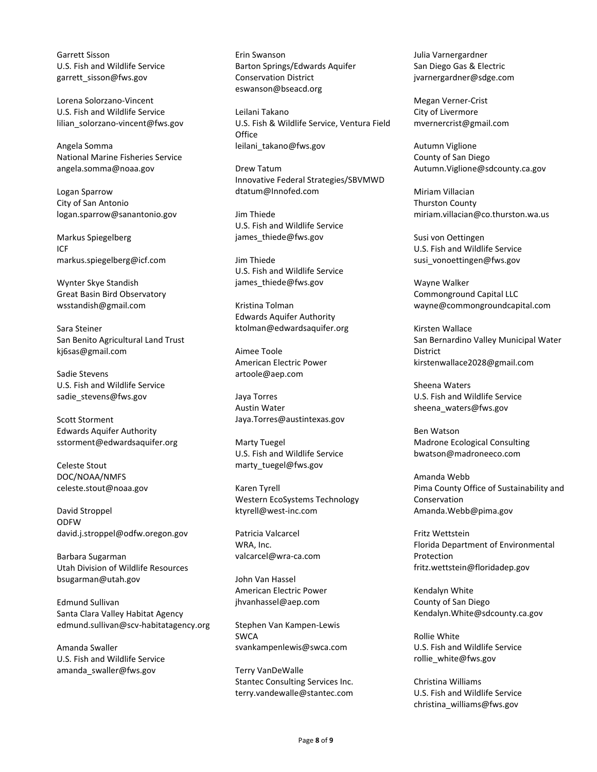Garrett Sisson U.S. Fish and Wildlife Service garrett\_sisson@fws.gov

Lorena Solorzano-Vincent U.S. Fish and Wildlife Service lilian solorzano-vincent@fws.gov

Angela Somma National Marine Fisheries Service angela.somma@noaa.gov

Logan Sparrow City of San Antonio logan.sparrow@sanantonio.gov

Markus Spiegelberg ICF markus.spiegelberg@icf.com

Wynter Skye Standish Great Basin Bird Observatory wsstandish@gmail.com

Sara Steiner San Benito Agricultural Land Trust kj6sas@gmail.com

Sadie Stevens U.S. Fish and Wildlife Service sadie\_stevens@fws.gov

Scott Storment Edwards Aquifer Authority sstorment@edwardsaquifer.org

Celeste Stout DOC/NOAA/NMFS celeste.stout@noaa.gov

David Stroppel ODFW david.j.stroppel@odfw.oregon.gov

Barbara Sugarman Utah Division of Wildlife Resources bsugarman@utah.gov

Edmund Sullivan Santa Clara Valley Habitat Agency edmund.sullivan@scv-habitatagency.org

Amanda Swaller U.S. Fish and Wildlife Service amanda\_swaller@fws.gov

Erin Swanson Barton Springs/Edwards Aquifer Conservation District eswanson@bseacd.org

Leilani Takano U.S. Fish & Wildlife Service, Ventura Field **Office** leilani\_takano@fws.gov

Drew Tatum Innovative Federal Strategies/SBVMWD dtatum@Innofed.com

Jim Thiede U.S. Fish and Wildlife Service james\_thiede@fws.gov

Jim Thiede U.S. Fish and Wildlife Service james\_thiede@fws.gov

Kristina Tolman Edwards Aquifer Authority ktolman@edwardsaquifer.org

Aimee Toole American Electric Power artoole@aep.com

Jaya Torres Austin Water Jaya.Torres@austintexas.gov

Marty Tuegel U.S. Fish and Wildlife Service marty\_tuegel@fws.gov

Karen Tyrell Western EcoSystems Technology ktyrell@west-inc.com

Patricia Valcarcel WRA, Inc. valcarcel@wra-ca.com

John Van Hassel American Electric Power jhvanhassel@aep.com

Stephen Van Kampen-Lewis SWCA svankampenlewis@swca.com

Terry VanDeWalle Stantec Consulting Services Inc. terry.vandewalle@stantec.com Julia Varnergardner San Diego Gas & Electric jvarnergardner@sdge.com

Megan Verner-Crist City of Livermore mvernercrist@gmail.com

Autumn Viglione County of San Diego Autumn.Viglione@sdcounty.ca.gov

Miriam Villacian Thurston County miriam.villacian@co.thurston.wa.us

Susi von Oettingen U.S. Fish and Wildlife Service susi\_vonoettingen@fws.gov

Wayne Walker Commonground Capital LLC wayne@commongroundcapital.com

Kirsten Wallace San Bernardino Valley Municipal Water District kirstenwallace2028@gmail.com

Sheena Waters U.S. Fish and Wildlife Service sheena\_waters@fws.gov

Ben Watson Madrone Ecological Consulting bwatson@madroneeco.com

Amanda Webb Pima County Office of Sustainability and Conservation Amanda.Webb@pima.gov

Fritz Wettstein Florida Department of Environmental Protection fritz.wettstein@floridadep.gov

Kendalyn White County of San Diego Kendalyn.White@sdcounty.ca.gov

Rollie White U.S. Fish and Wildlife Service rollie\_white@fws.gov

Christina Williams U.S. Fish and Wildlife Service christina\_williams@fws.gov